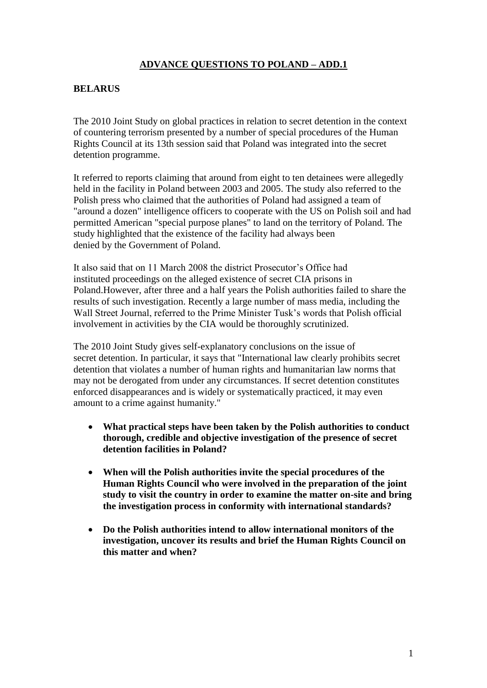# **ADVANCE QUESTIONS TO POLAND – ADD.1**

#### **BELARUS**

The 2010 Joint Study on global practices in relation to secret detention in the context of countering terrorism presented by a number of special procedures of the Human Rights Council at its 13th session said that Poland was integrated into the secret detention programme.

It referred to reports claiming that around from eight to ten detainees were allegedly held in the facility in Poland between 2003 and 2005. The study also referred to the Polish press who claimed that the authorities of Poland had assigned a team of "around a dozen" intelligence officers to cooperate with the US on Polish soil and had permitted American "special purpose planes" to land on the territory of Poland. The study highlighted that the existence of the facility had always been denied by the Government of Poland.

It also said that on 11 March 2008 the district Prosecutor's Office had instituted proceedings on the alleged existence of secret CIA prisons in Poland.However, after three and a half years the Polish authorities failed to share the results of such investigation. Recently a large number of mass media, including the Wall Street Journal, referred to the Prime Minister Tusk's words that Polish official involvement in activities by the CIA would be thoroughly scrutinized.

The 2010 Joint Study gives self-explanatory conclusions on the issue of secret detention. In particular, it says that "International law clearly prohibits secret detention that violates a number of human rights and humanitarian law norms that may not be derogated from under any circumstances. If secret detention constitutes enforced disappearances and is widely or systematically practiced, it may even amount to a crime against humanity."

- **What practical steps have been taken by the Polish authorities to conduct thorough, credible and objective investigation of the presence of secret detention facilities in Poland?**
- **When will the Polish authorities invite the special procedures of the Human Rights Council who were involved in the preparation of the joint study to visit the country in order to examine the matter on-site and bring the investigation process in conformity with international standards?**
- **Do the Polish authorities intend to allow international monitors of the investigation, uncover its results and brief the Human Rights Council on this matter and when?**